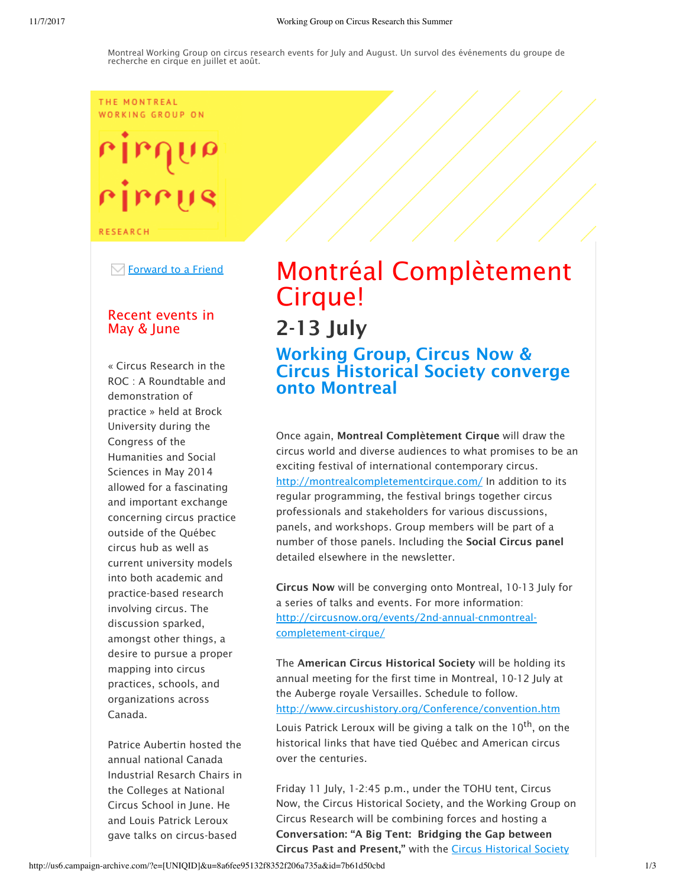### THE MONTREAL WORKING GROUP ON

# rirrus

**RESEARCH** 

 $\boxdot$  Forward to a Friend

# Recent events in May & June

« Circus Research in the ROC : A Roundtable and demonstration of practice » held at Brock University during the Congress of the Humanities and Social Sciences in May 2014 allowed for a fascinating and important exchange concerning circus practice outside of the Québec circus hub as well as current university models into both academic and practice-based research involving circus. The discussion sparked, amongst other things, a desire to pursue a proper mapping into circus practices, schools, and organizations across Canada.

Patrice Aubertin hosted the annual national Canada Industrial Resarch Chairs in the Colleges at National Circus School in June. He and Louis Patrick Leroux gave talks on circus-based

# Montréal Complètement Cirque! 2-13 July

Working Group, Circus Now & Circus Historical Society converge onto Montreal

Once again, Montreal Complètement Cirque will draw the circus world and diverse audiences to what promises to be an exciting festival of international contemporary circus. http://montrealcompletementcirque.com/ In addition to its regular programming, the festival brings together circus professionals and stakeholders for various discussions, panels, and workshops. Group members will be part of a number of those panels. Including the Social Circus panel detailed elsewhere in the newsletter.

Circus Now will be converging onto Montreal, 10-13 July for a series of talks and events. For more information: http://circusnow.org/events/2nd-annual-cnmontrealcompletement-cirque/

The American Circus Historical Society will be holding its annual meeting for the first time in Montreal, 10-12 July at the Auberge royale Versailles. Schedule to follow. http://www.circushistory.org/Conference/convention.htm

Louis Patrick Leroux will be giving a talk on the 10<sup>th</sup>, on the historical links that have tied Québec and American circus over the centuries.

Friday 11 July, 1-2:45 p.m., under the TOHU tent, Circus Now, the Circus Historical Society, and the Working Group on Circus Research will be combining forces and hosting a Conversation: "A Big Tent: Bridging the Gap between Circus Past and Present," with the Circus Historical Society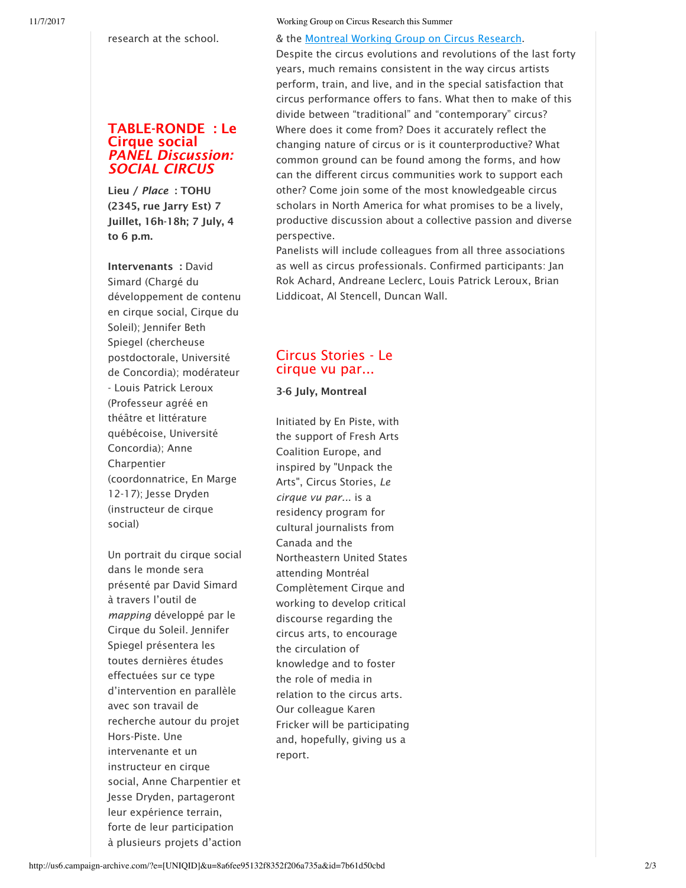research at the school.

# TABLE-RONDE : Le Cirque social *PANEL Discussion: SOCIAL CIRCUS*

Lieu / *Place* : TOHU (2345, rue Jarry Est) 7 Juillet, 16h-18h; 7 July, 4 to 6 p.m.

Intervenants : David Simard (Chargé du développement de contenu en cirque social, Cirque du Soleil); Jennifer Beth Spiegel (chercheuse postdoctorale, Université de Concordia); modérateur - Louis Patrick Leroux (Professeur agréé en théâtre et littérature québécoise, Université Concordia); Anne Charpentier (coordonnatrice, En Marge 12-17); Jesse Dryden (instructeur de cirque social)

Un portrait du cirque social dans le monde sera présenté par David Simard à travers l'outil de *mapping* développé par le Cirque du Soleil. Jennifer Spiegel présentera les toutes dernières études effectuées sur ce type d'intervention en parallèle avec son travail de recherche autour du projet Hors-Piste. Une intervenante et un instructeur en cirque social, Anne Charpentier et Jesse Dryden, partageront leur expérience terrain, forte de leur participation à plusieurs projets d'action

## & the Montreal Working Group on Circus Research.

Despite the circus evolutions and revolutions of the last forty years, much remains consistent in the way circus artists perform, train, and live, and in the special satisfaction that circus performance offers to fans. What then to make of this divide between "traditional" and "contemporary" circus? Where does it come from? Does it accurately reflect the changing nature of circus or is it counterproductive? What common ground can be found among the forms, and how can the different circus communities work to support each other? Come join some of the most knowledgeable circus scholars in North America for what promises to be a lively, productive discussion about a collective passion and diverse perspective.

Panelists will include colleagues from all three associations as well as circus professionals. Confirmed participants: Jan Rok Achard, Andreane Leclerc, Louis Patrick Leroux, Brian Liddicoat, Al Stencell, Duncan Wall.

# Circus Stories - Le cirque vu par...

3-6 July, Montreal

Initiated by En Piste, with the support of Fresh Arts Coalition Europe, and inspired by "Unpack the Arts", Circus Stories, *Le cirque vu par..*. is a residency program for cultural journalists from Canada and the Northeastern United States attending Montréal Complètement Cirque and working to develop critical discourse regarding the circus arts, to encourage the circulation of knowledge and to foster the role of media in relation to the circus arts. Our colleague Karen Fricker will be participating and, hopefully, giving us a report.